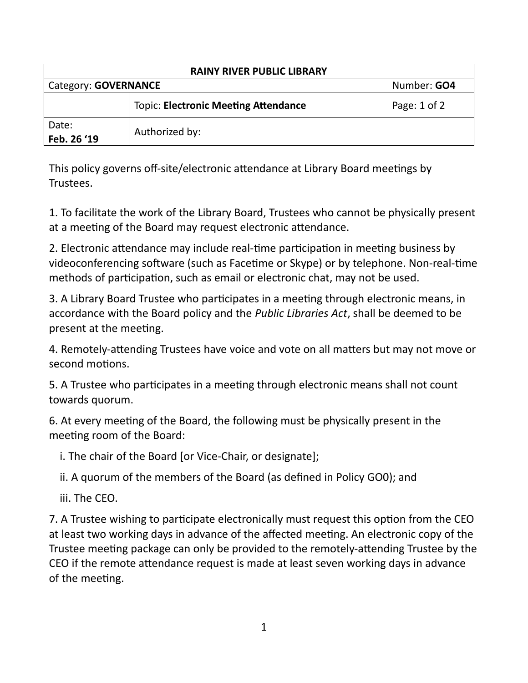| <b>RAINY RIVER PUBLIC LIBRARY</b> |                                             |              |  |
|-----------------------------------|---------------------------------------------|--------------|--|
| Category: <b>GOVERNANCE</b>       |                                             | Number: GO4  |  |
|                                   | <b>Topic: Electronic Meeting Attendance</b> | Page: 1 of 2 |  |
| Date:<br>Feb. 26 '19              | Authorized by:                              |              |  |

This policy governs off-site/electronic attendance at Library Board meetings by Trustees.

1. To facilitate the work of the Library Board, Trustees who cannot be physically present at a meeting of the Board may request electronic attendance.

2. Electronic attendance may include real-time participation in meeting business by videoconferencing software (such as Facetime or Skype) or by telephone. Non-real-time methods of participation, such as email or electronic chat, may not be used.

3. A Library Board Trustee who participates in a meeting through electronic means, in accordance with the Board policy and the *Public Libraries Act*, shall be deemed to be present at the meeting.

4. Remotely-attending Trustees have voice and vote on all matters but may not move or second motions.

5. A Trustee who participates in a meeting through electronic means shall not count towards quorum.

6. At every meeting of the Board, the following must be physically present in the meeting room of the Board:

i. The chair of the Board [or Vice-Chair, or designate];

ii. A quorum of the members of the Board (as defined in Policy GO0); and

iii. The CEO.

7. A Trustee wishing to participate electronically must request this option from the CEO at least two working days in advance of the affected meeting. An electronic copy of the Trustee meeting package can only be provided to the remotely-attending Trustee by the CEO if the remote attendance request is made at least seven working days in advance of the meeting.